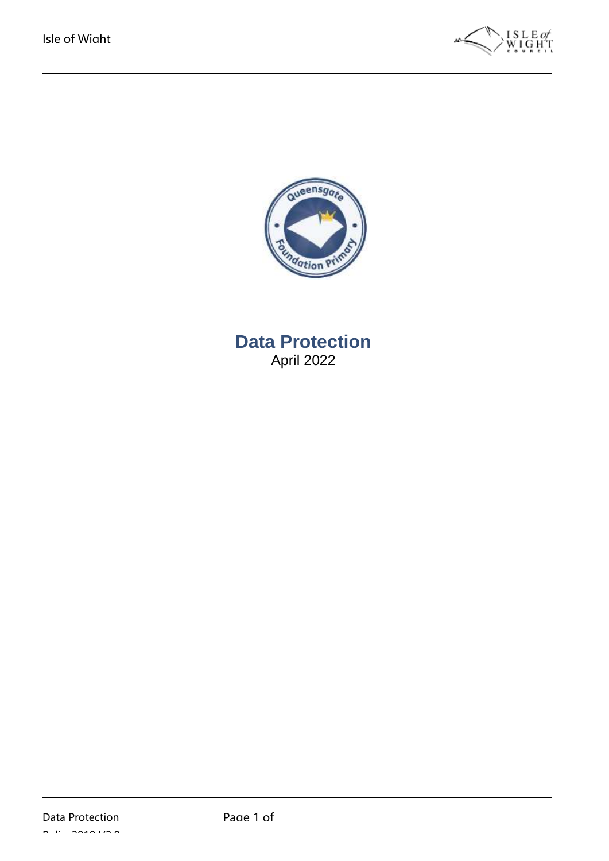



**Data Protection** April 2022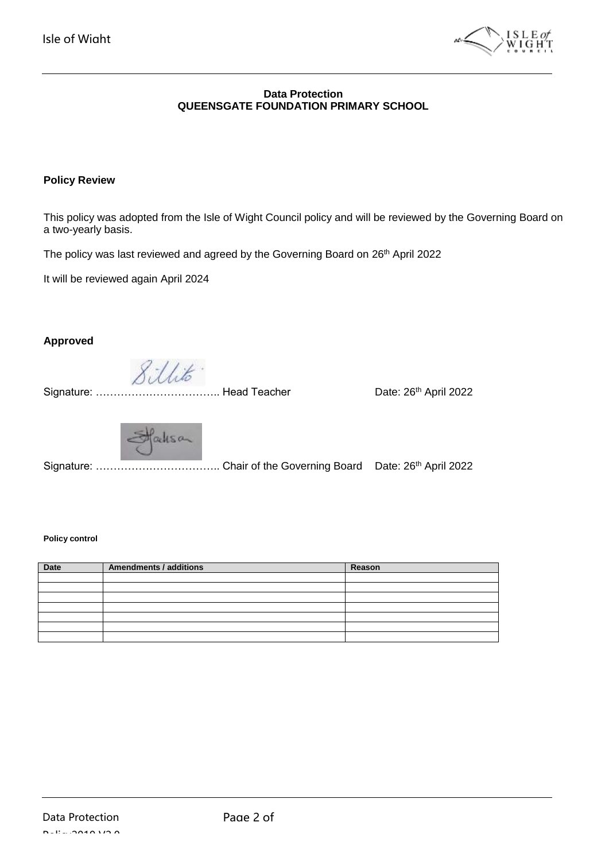

#### **Data Protection QUEENSGATE FOUNDATION PRIMARY SCHOOL**

#### **Policy Review**

This policy was adopted from the Isle of Wight Council policy and will be reviewed by the Governing Board on a two-yearly basis.

The policy was last reviewed and agreed by the Governing Board on 26<sup>th</sup> April 2022

It will be reviewed again April 2024

#### **Approved**

Sillito"

Signature: ........ Signature: Mead Teacher **Canadia Catalogue 26th** April 2022

Hacksan

 $\overline{a}$ Signature: ………………………………… Chair of the Governing Board Date: 26<sup>th</sup> April 2022

#### **Policy control**

| Date | <b>Amendments / additions</b> | Reason |
|------|-------------------------------|--------|
|      |                               |        |
|      |                               |        |
|      |                               |        |
|      |                               |        |
|      |                               |        |
|      |                               |        |
|      |                               |        |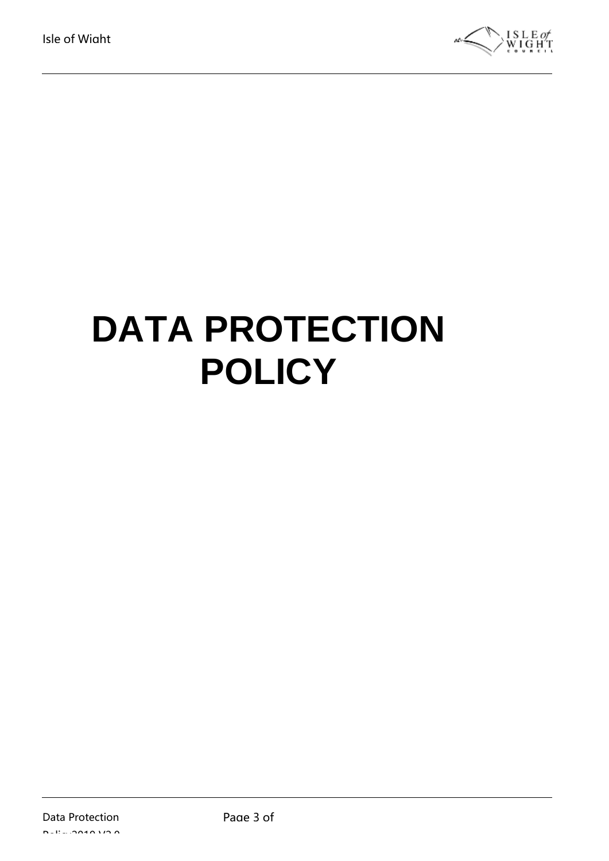

# **DATA PROTECTION POLICY**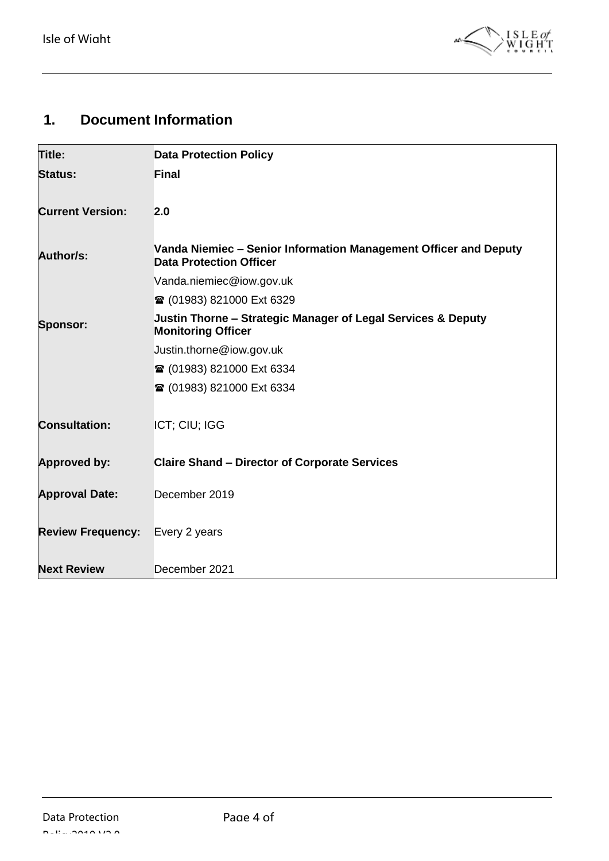

## <span id="page-3-0"></span>**1. Document Information**

| Title:                   | <b>Data Protection Policy</b>                                                                      |
|--------------------------|----------------------------------------------------------------------------------------------------|
| <b>Status:</b>           | <b>Final</b>                                                                                       |
| <b>Current Version:</b>  | 2.0                                                                                                |
| Author/s:                | Vanda Niemiec - Senior Information Management Officer and Deputy<br><b>Data Protection Officer</b> |
|                          | Vanda.niemiec@iow.gov.uk                                                                           |
|                          | <b>■ (01983) 821000 Ext 6329</b>                                                                   |
| <b>Sponsor:</b>          | Justin Thorne - Strategic Manager of Legal Services & Deputy<br><b>Monitoring Officer</b>          |
|                          | Justin.thorne@iow.gov.uk                                                                           |
|                          | <b>■ (01983) 821000 Ext 6334</b>                                                                   |
|                          | <b>■ (01983) 821000 Ext 6334</b>                                                                   |
| <b>Consultation:</b>     | ICT; CIU; IGG                                                                                      |
| Approved by:             | <b>Claire Shand - Director of Corporate Services</b>                                               |
| <b>Approval Date:</b>    | December 2019                                                                                      |
| <b>Review Frequency:</b> | Every 2 years                                                                                      |
| <b>Next Review</b>       | December 2021                                                                                      |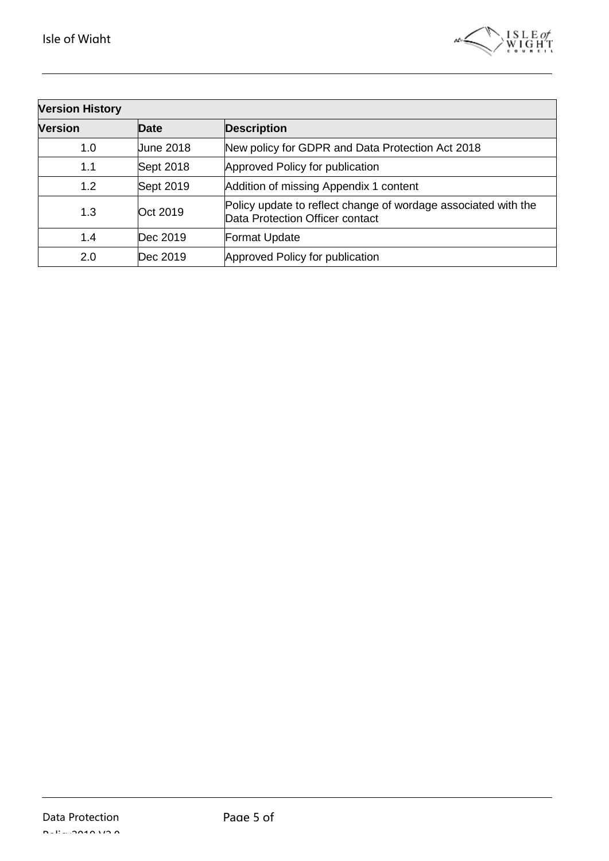

| <b>Version History</b> |           |                                                                                                   |
|------------------------|-----------|---------------------------------------------------------------------------------------------------|
| <b>Version</b>         | Date      | <b>Description</b>                                                                                |
| 1.0                    | June 2018 | New policy for GDPR and Data Protection Act 2018                                                  |
| 1.1                    | Sept 2018 | Approved Policy for publication                                                                   |
| 1.2                    | Sept 2019 | Addition of missing Appendix 1 content                                                            |
| 1.3                    | Oct 2019  | Policy update to reflect change of wordage associated with the<br>Data Protection Officer contact |
| 1.4                    | Dec 2019  | Format Update                                                                                     |
| 2.0                    | Dec 2019  | Approved Policy for publication                                                                   |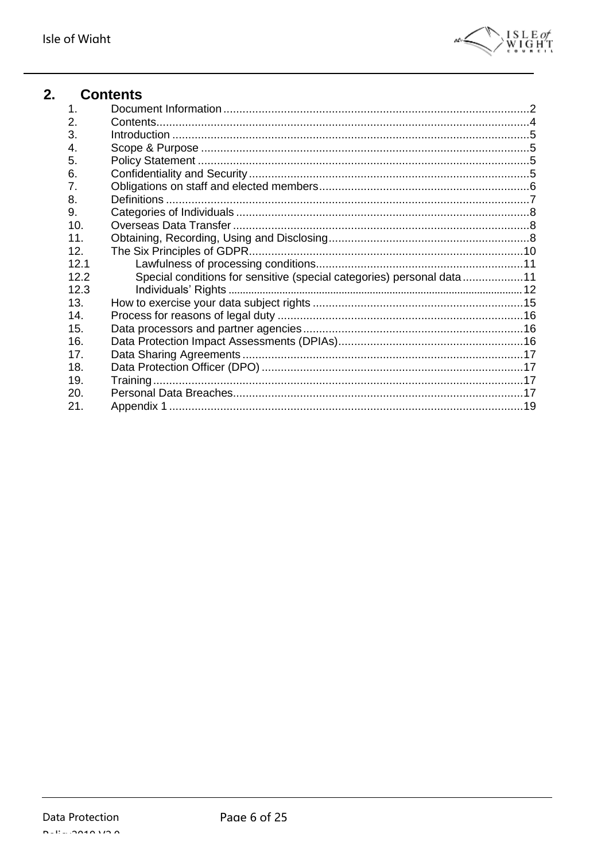

<span id="page-5-0"></span>

| 2. |      | <b>Contents</b>                                                       |  |
|----|------|-----------------------------------------------------------------------|--|
|    | 1.   |                                                                       |  |
|    | 2.   |                                                                       |  |
|    | 3.   |                                                                       |  |
|    | 4.   |                                                                       |  |
|    | 5.   |                                                                       |  |
|    | 6.   |                                                                       |  |
|    | 7.   |                                                                       |  |
|    | 8.   |                                                                       |  |
|    | 9.   |                                                                       |  |
|    | 10.  |                                                                       |  |
|    | 11.  |                                                                       |  |
|    | 12.  |                                                                       |  |
|    | 12.1 |                                                                       |  |
|    | 12.2 | Special conditions for sensitive (special categories) personal data11 |  |
|    | 12.3 |                                                                       |  |
|    | 13.  |                                                                       |  |
|    | 14.  |                                                                       |  |
|    | 15.  |                                                                       |  |
|    | 16.  |                                                                       |  |
|    | 17.  |                                                                       |  |
|    | 18.  |                                                                       |  |
|    | 19.  |                                                                       |  |
|    | 20.  |                                                                       |  |
|    | 21.  |                                                                       |  |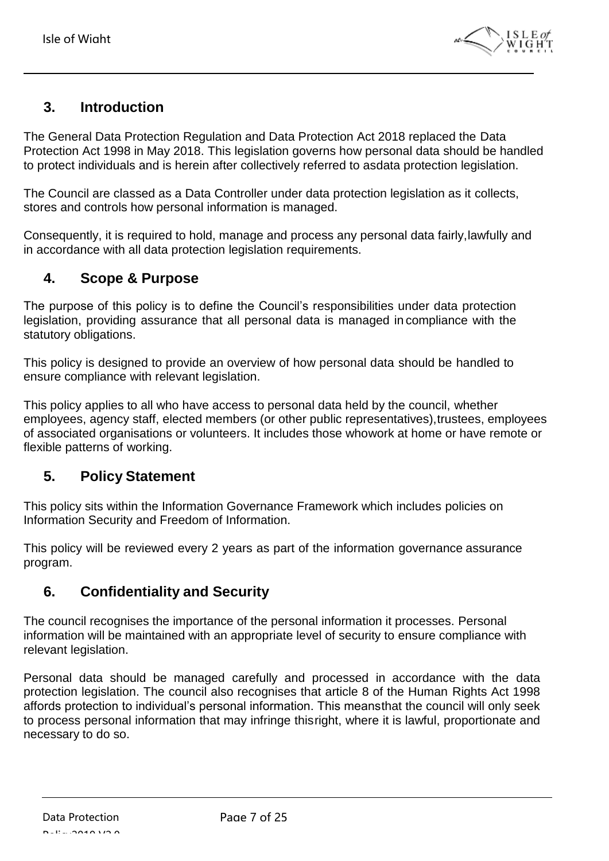

## <span id="page-6-0"></span>**3. Introduction**

The General Data Protection Regulation and Data Protection Act 2018 replaced the Data Protection Act 1998 in May 2018. This legislation governs how personal data should be handled to protect individuals and is herein after collectively referred to asdata protection legislation.

The Council are classed as a Data Controller under data protection legislation as it collects, stores and controls how personal information is managed.

Consequently, it is required to hold, manage and process any personal data fairly,lawfully and in accordance with all data protection legislation requirements.

## <span id="page-6-1"></span>**4. Scope & Purpose**

The purpose of this policy is to define the Council's responsibilities under data protection legislation, providing assurance that all personal data is managed in compliance with the statutory obligations.

This policy is designed to provide an overview of how personal data should be handled to ensure compliance with relevant legislation.

This policy applies to all who have access to personal data held by the council, whether employees, agency staff, elected members (or other public representatives),trustees, employees of associated organisations or volunteers. It includes those whowork at home or have remote or flexible patterns of working.

## <span id="page-6-2"></span>**5. Policy Statement**

This policy sits within the Information Governance Framework which includes policies on Information Security and Freedom of Information.

This policy will be reviewed every 2 years as part of the information governance assurance program.

## <span id="page-6-3"></span>**6. Confidentiality and Security**

The council recognises the importance of the personal information it processes. Personal information will be maintained with an appropriate level of security to ensure compliance with relevant legislation.

Personal data should be managed carefully and processed in accordance with the data protection legislation. The council also recognises that article 8 of the Human Rights Act 1998 affords protection to individual's personal information. This meansthat the council will only seek to process personal information that may infringe thisright, where it is lawful, proportionate and necessary to do so.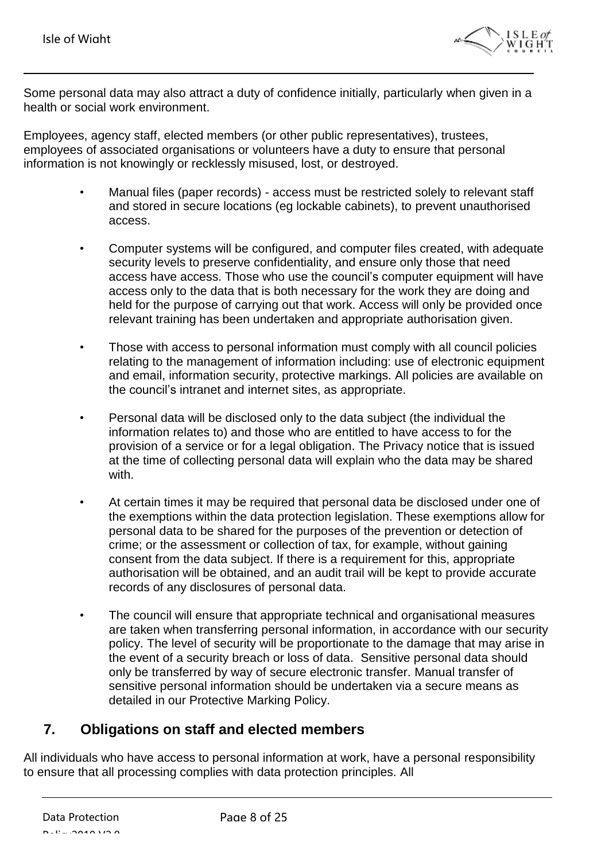

Some personal data may also attract a duty of confidence initially, particularly when given in a health or social work environment.

Employees, agency staff, elected members (or other public representatives), trustees, employees of associated organisations or volunteers have a duty to ensure that personal information is not knowingly or recklessly misused, lost, or destroyed.

- Manual files (paper records) access must be restricted solely to relevant staff and stored in secure locations (eg lockable cabinets), to prevent unauthorised access.
- Computer systems will be configured, and computer files created, with adequate security levels to preserve confidentiality, and ensure only those that need access have access. Those who use the council's computer equipment will have access only to the data that is both necessary for the work they are doing and held for the purpose of carrying out that work. Access will only be provided once relevant training has been undertaken and appropriate authorisation given.
- Those with access to personal information must comply with all council policies relating to the management of information including: use of electronic equipment and email, information security, protective markings. All policies are available on the council's intranet and internet sites, as appropriate.
- Personal data will be disclosed only to the data subject (the individual the information relates to) and those who are entitled to have access to for the provision of a service or for a legal obligation. The Privacy notice that is issued at the time of collecting personal data will explain who the data may be shared with.
- At certain times it may be required that personal data be disclosed under one of the exemptions within the data protection legislation. These exemptions allow for personal data to be shared for the purposes of the prevention or detection of crime; or the assessment or collection of tax, for example, without gaining consent from the data subject. If there is a requirement for this, appropriate authorisation will be obtained, and an audit trail will be kept to provide accurate records of any disclosures of personal data.
- The council will ensure that appropriate technical and organisational measures are taken when transferring personal information, in accordance with our security policy. The level of security will be proportionate to the damage that may arise in the event of a security breach or loss of data. Sensitive personal data should only be transferred by way of secure electronic transfer. Manual transfer of sensitive personal information should be undertaken via a secure means as detailed in our Protective Marking Policy.

## <span id="page-7-0"></span>**7. Obligations on staff and elected members**

All individuals who have access to personal information at work, have a personal responsibility to ensure that all processing complies with data protection principles. All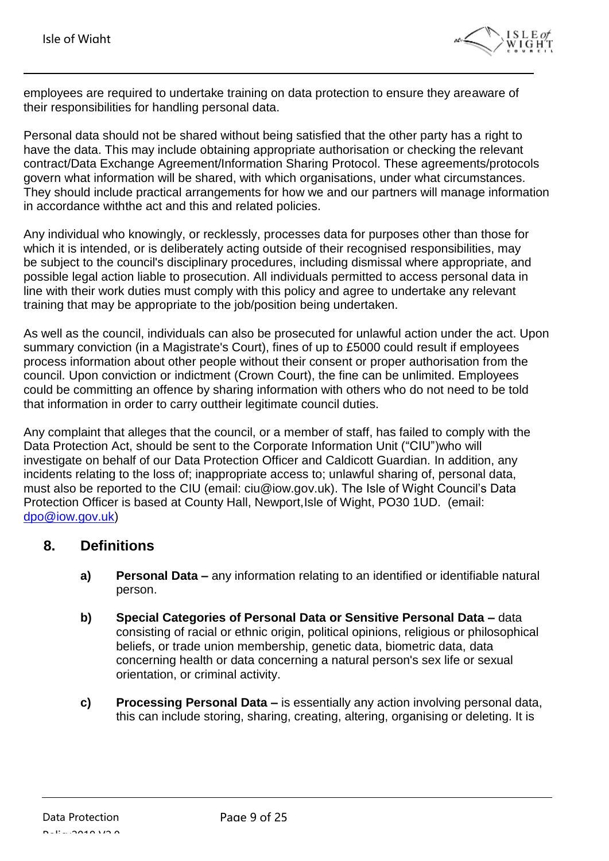

employees are required to undertake training on data protection to ensure they areaware of their responsibilities for handling personal data.

Personal data should not be shared without being satisfied that the other party has a right to have the data. This may include obtaining appropriate authorisation or checking the relevant contract/Data Exchange Agreement/Information Sharing Protocol. These agreements/protocols govern what information will be shared, with which organisations, under what circumstances. They should include practical arrangements for how we and our partners will manage information in accordance withthe act and this and related policies.

Any individual who knowingly, or recklessly, processes data for purposes other than those for which it is intended, or is deliberately acting outside of their recognised responsibilities, may be subject to the council's disciplinary procedures, including dismissal where appropriate, and possible legal action liable to prosecution. All individuals permitted to access personal data in line with their work duties must comply with this policy and agree to undertake any relevant training that may be appropriate to the job/position being undertaken.

As well as the council, individuals can also be prosecuted for unlawful action under the act. Upon summary conviction (in a Magistrate's Court), fines of up to £5000 could result if employees process information about other people without their consent or proper authorisation from the council. Upon conviction or indictment (Crown Court), the fine can be unlimited. Employees could be committing an offence by sharing information with others who do not need to be told that information in order to carry outtheir legitimate council duties.

Any complaint that alleges that the council, or a member of staff, has failed to comply with the Data Protection Act, should be sent to the Corporate Information Unit ("CIU")who will investigate on behalf of our Data Protection Officer and Caldicott Guardian. In addition, any incidents relating to the loss of; inappropriate access to; unlawful sharing of, personal data, must also be reported to the CIU (email: ciu@iow.gov.uk). The Isle of Wight Council's Data Protection Officer is based at County Hall, Newport,Isle of Wight, PO30 1UD. (email: [dpo@iow.gov.uk\)](mailto:dpo@iow.gov.uk)

#### <span id="page-8-0"></span>**8. Definitions**

- **a) Personal Data –** any information relating to an identified or identifiable natural person.
- **b) Special Categories of Personal Data or Sensitive Personal Data –** data consisting of racial or ethnic origin, political opinions, religious or philosophical beliefs, or trade union membership, genetic data, biometric data, data concerning health or data concerning a natural person's sex life or sexual orientation, or criminal activity.
- **c) Processing Personal Data –** is essentially any action involving personal data, this can include storing, sharing, creating, altering, organising or deleting. It is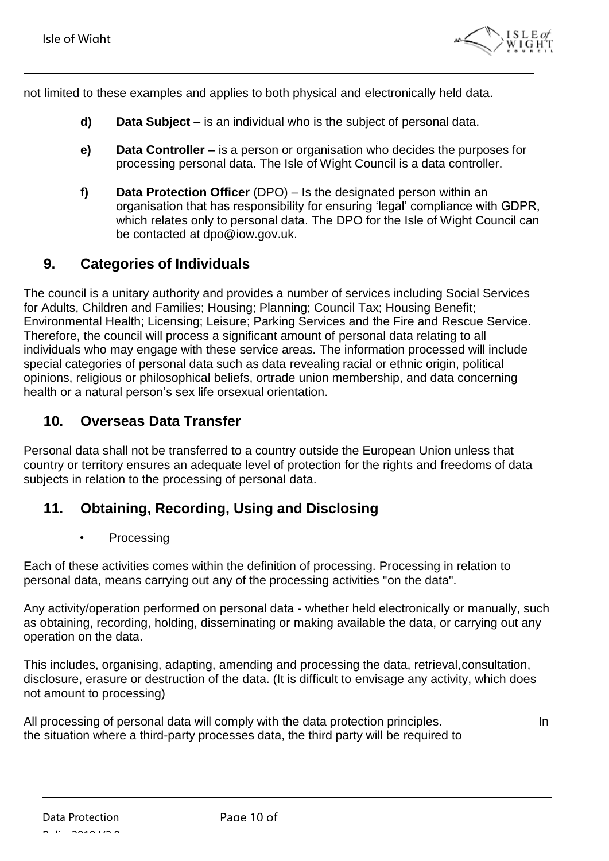

not limited to these examples and applies to both physical and electronically held data.

- **d) Data Subject –** is an individual who is the subject of personal data.
- **e) Data Controller –** is a person or organisation who decides the purposes for processing personal data. The Isle of Wight Council is a data controller.
- **f) Data Protection Officer** (DPO) Is the designated person within an organisation that has responsibility for ensuring 'legal' compliance with GDPR, which relates only to personal data. The DPO for the Isle of Wight Council can be contacted at [dpo@iow.gov.uk.](mailto:dpo@iow.gov.uk)

## <span id="page-9-0"></span>**9. Categories of Individuals**

The council is a unitary authority and provides a number of services including Social Services for Adults, Children and Families; Housing; Planning; Council Tax; Housing Benefit; Environmental Health; Licensing; Leisure; Parking Services and the Fire and Rescue Service. Therefore, the council will process a significant amount of personal data relating to all individuals who may engage with these service areas. The information processed will include special categories of personal data such as data revealing racial or ethnic origin, political opinions, religious or philosophical beliefs, ortrade union membership, and data concerning health or a natural person's sex life orsexual orientation.

## <span id="page-9-1"></span>**10. Overseas Data Transfer**

Personal data shall not be transferred to a country outside the European Union unless that country or territory ensures an adequate level of protection for the rights and freedoms of data subjects in relation to the processing of personal data.

## <span id="page-9-2"></span>**11. Obtaining, Recording, Using and Disclosing**

• Processing

Each of these activities comes within the definition of processing. Processing in relation to personal data, means carrying out any of the processing activities "on the data".

Any activity/operation performed on personal data - whether held electronically or manually, such as obtaining, recording, holding, disseminating or making available the data, or carrying out any operation on the data.

This includes, organising, adapting, amending and processing the data, retrieval,consultation, disclosure, erasure or destruction of the data. (It is difficult to envisage any activity, which does not amount to processing)

All processing of personal data will comply with the data protection principles. the situation where a third-party processes data, the third party will be required to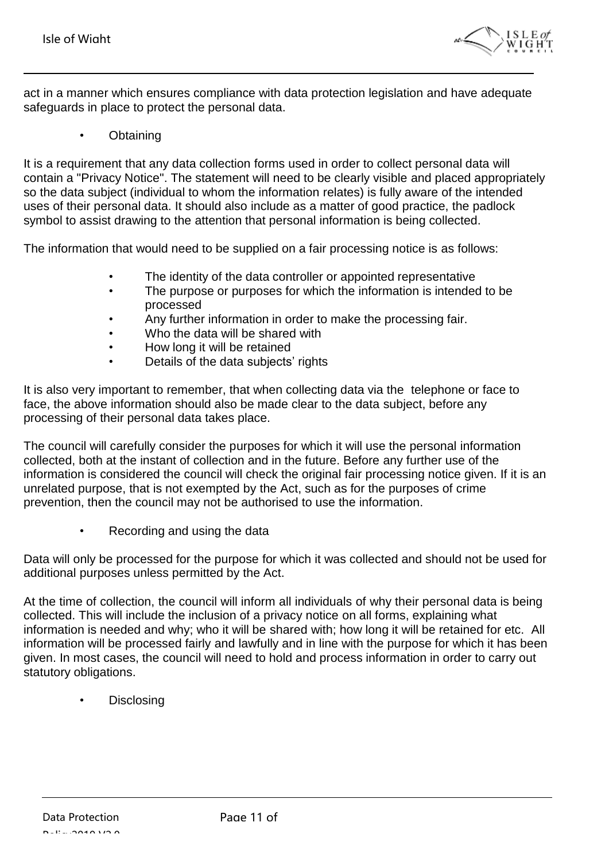

act in a manner which ensures compliance with data protection legislation and have adequate safeguards in place to protect the personal data.

**Obtaining** 

It is a requirement that any data collection forms used in order to collect personal data will contain a "Privacy Notice". The statement will need to be clearly visible and placed appropriately so the data subject (individual to whom the information relates) is fully aware of the intended uses of their personal data. It should also include as a matter of good practice, the padlock symbol to assist drawing to the attention that personal information is being collected.

The information that would need to be supplied on a fair processing notice is as follows:

- The identity of the data controller or appointed representative
- The purpose or purposes for which the information is intended to be processed
- Any further information in order to make the processing fair.
- Who the data will be shared with
- How long it will be retained
- Details of the data subjects' rights

It is also very important to remember, that when collecting data via the telephone or face to face, the above information should also be made clear to the data subject, before any processing of their personal data takes place.

The council will carefully consider the purposes for which it will use the personal information collected, both at the instant of collection and in the future. Before any further use of the information is considered the council will check the original fair processing notice given. If it is an unrelated purpose, that is not exempted by the Act, such as for the purposes of crime prevention, then the council may not be authorised to use the information.

Recording and using the data

Data will only be processed for the purpose for which it was collected and should not be used for additional purposes unless permitted by the Act.

At the time of collection, the council will inform all individuals of why their personal data is being collected. This will include the inclusion of a privacy notice on all forms, explaining what information is needed and why; who it will be shared with; how long it will be retained for etc. All information will be processed fairly and lawfully and in line with the purpose for which it has been given. In most cases, the council will need to hold and process information in order to carry out statutory obligations.

**Disclosing**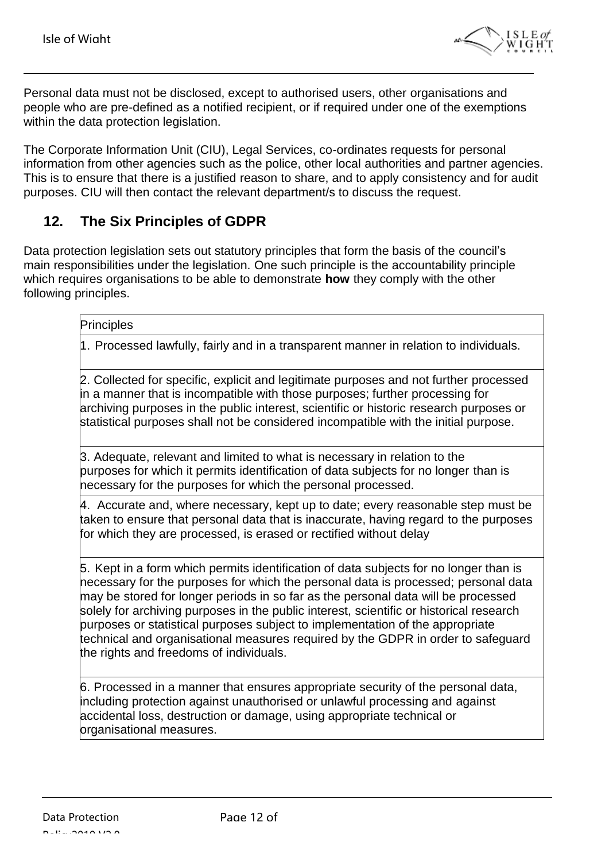

Personal data must not be disclosed, except to authorised users, other organisations and people who are pre-defined as a notified recipient, or if required under one of the exemptions within the data protection legislation.

The Corporate Information Unit (CIU), Legal Services, co-ordinates requests for personal information from other agencies such as the police, other local authorities and partner agencies. This is to ensure that there is a justified reason to share, and to apply consistency and for audit purposes. CIU will then contact the relevant department/s to discuss the request.

## <span id="page-11-0"></span>**12. The Six Principles of GDPR**

Data protection legislation sets out statutory principles that form the basis of the council's main responsibilities under the legislation. One such principle is the accountability principle which requires organisations to be able to demonstrate **how** they comply with the other following principles.

#### **Principles**

1. Processed lawfully, fairly and in a transparent manner in relation to individuals.

2. Collected for specific, explicit and legitimate purposes and not further processed in a manner that is incompatible with those purposes; further processing for archiving purposes in the public interest, scientific or historic research purposes or statistical purposes shall not be considered incompatible with the initial purpose.

3. Adequate, relevant and limited to what is necessary in relation to the purposes for which it permits identification of data subjects for no longer than is necessary for the purposes for which the personal processed.

4. Accurate and, where necessary, kept up to date; every reasonable step must be taken to ensure that personal data that is inaccurate, having regard to the purposes for which they are processed, is erased or rectified without delay

5. Kept in a form which permits identification of data subjects for no longer than is necessary for the purposes for which the personal data is processed; personal data may be stored for longer periods in so far as the personal data will be processed solely for archiving purposes in the public interest, scientific or historical research purposes or statistical purposes subject to implementation of the appropriate technical and organisational measures required by the GDPR in order to safeguard the rights and freedoms of individuals.

6. Processed in a manner that ensures appropriate security of the personal data, including protection against unauthorised or unlawful processing and against accidental loss, destruction or damage, using appropriate technical or organisational measures.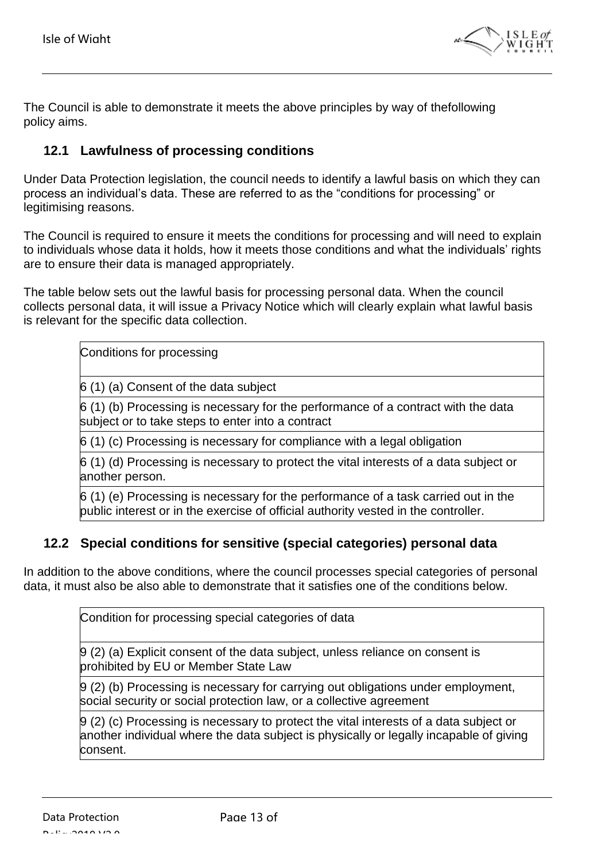

The Council is able to demonstrate it meets the above principles by way of thefollowing policy aims.

#### <span id="page-12-0"></span>**12.1 Lawfulness of processing conditions**

Under Data Protection legislation, the council needs to identify a lawful basis on which they can process an individual's data. These are referred to as the "conditions for processing" or legitimising reasons.

The Council is required to ensure it meets the conditions for processing and will need to explain to individuals whose data it holds, how it meets those conditions and what the individuals' rights are to ensure their data is managed appropriately.

The table below sets out the lawful basis for processing personal data. When the council collects personal data, it will issue a Privacy Notice which will clearly explain what lawful basis is relevant for the specific data collection.

Conditions for processing

6 (1) (a) Consent of the data subject

6 (1) (b) Processing is necessary for the performance of a contract with the data subiect or to take steps to enter into a contract

6 (1) (c) Processing is necessary for compliance with a legal obligation

6 (1) (d) Processing is necessary to protect the vital interests of a data subject or another person.

6 (1) (e) Processing is necessary for the performance of a task carried out in the public interest or in the exercise of official authority vested in the controller.

#### <span id="page-12-1"></span>**12.2 Special conditions for sensitive (special categories) personal data**

In addition to the above conditions, where the council processes special categories of personal data, it must also be also able to demonstrate that it satisfies one of the conditions below.

Condition for processing special categories of data

9 (2) (a) Explicit consent of the data subject, unless reliance on consent is prohibited by EU or Member State Law

9 (2) (b) Processing is necessary for carrying out obligations under employment, social security or social protection law, or a collective agreement

9 (2) (c) Processing is necessary to protect the vital interests of a data subject or another individual where the data subject is physically or legally incapable of giving consent.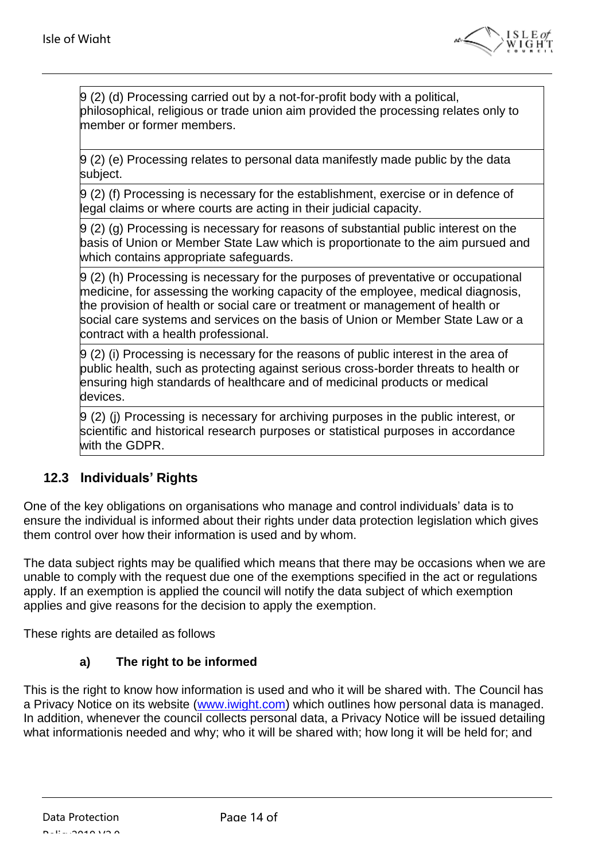

9 (2) (d) Processing carried out by a not-for-profit body with a political, philosophical, religious or trade union aim provided the processing relates only to member or former members.

9 (2) (e) Processing relates to personal data manifestly made public by the data subject.

9 (2) (f) Processing is necessary for the establishment, exercise or in defence of legal claims or where courts are acting in their judicial capacity.

9 (2) (g) Processing is necessary for reasons of substantial public interest on the basis of Union or Member State Law which is proportionate to the aim pursued and which contains appropriate safeguards.

9 (2) (h) Processing is necessary for the purposes of preventative or occupational medicine, for assessing the working capacity of the employee, medical diagnosis, the provision of health or social care or treatment or management of health or social care systems and services on the basis of Union or Member State Law or a contract with a health professional.

9 (2) (i) Processing is necessary for the reasons of public interest in the area of public health, such as protecting against serious cross-border threats to health or ensuring high standards of healthcare and of medicinal products or medical devices.

9 (2) (j) Processing is necessary for archiving purposes in the public interest, or scientific and historical research purposes or statistical purposes in accordance with the GDPR.

## <span id="page-13-0"></span>**12.3 Individuals' Rights**

One of the key obligations on organisations who manage and control individuals' data is to ensure the individual is informed about their rights under data protection legislation which gives them control over how their information is used and by whom.

The data subject rights may be qualified which means that there may be occasions when we are unable to comply with the request due one of the exemptions specified in the act or regulations apply. If an exemption is applied the council will notify the data subject of which exemption applies and give reasons for the decision to apply the exemption.

These rights are detailed as follows

#### **a) The right to be informed**

This is the right to know how information is used and who it will be shared with. The Council has a Privacy Notice on its website [\(www.iwight.com\)](http://www.iwight.com/) which outlines how personal data is managed. In addition, whenever the council collects personal data, a Privacy Notice will be issued detailing what informationis needed and why; who it will be shared with; how long it will be held for; and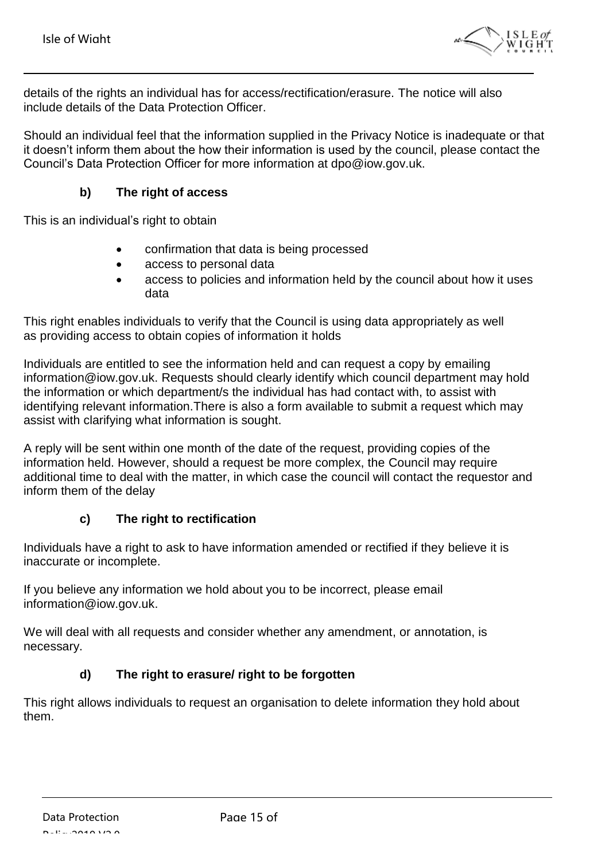

details of the rights an individual has for access/rectification/erasure. The notice will also include details of the Data Protection Officer.

Should an individual feel that the information supplied in the Privacy Notice is inadequate or that it doesn't inform them about the how their information is used by the council, please contact the Council's Data Protection Officer for more information at [dpo@iow.gov.uk.](mailto:dpo@iow.gov.uk)

#### **b) The right of access**

This is an individual's right to obtain

- confirmation that data is being processed
- access to personal data
- access to policies and information held by the council about how it uses data

This right enables individuals to verify that the Council is using data appropriately as well as providing access to obtain copies of information it holds

Individuals are entitled to see the information held and can request a copy by emailing [information@iow.gov.uk.](mailto:information@iow.gov.uk) Requests should clearly identify which council department may hold the information or which department/s the individual has had contact with, to assist with identifying relevant information.There is also a form available to submit a request which may assist with clarifying what information is sought.

A reply will be sent within one month of the date of the request, providing copies of the information held. However, should a request be more complex, the Council may require additional time to deal with the matter, in which case the council will contact the requestor and inform them of the delay

#### **c) The right to rectification**

Individuals have a right to ask to have information amended or rectified if they believe it is inaccurate or incomplete.

If you believe any information we hold about you to be incorrect, please email [information@iow.gov.uk.](mailto:information@iow.gov.uk)

We will deal with all requests and consider whether any amendment, or annotation, is necessary.

#### **d) The right to erasure/ right to be forgotten**

This right allows individuals to request an organisation to delete information they hold about them.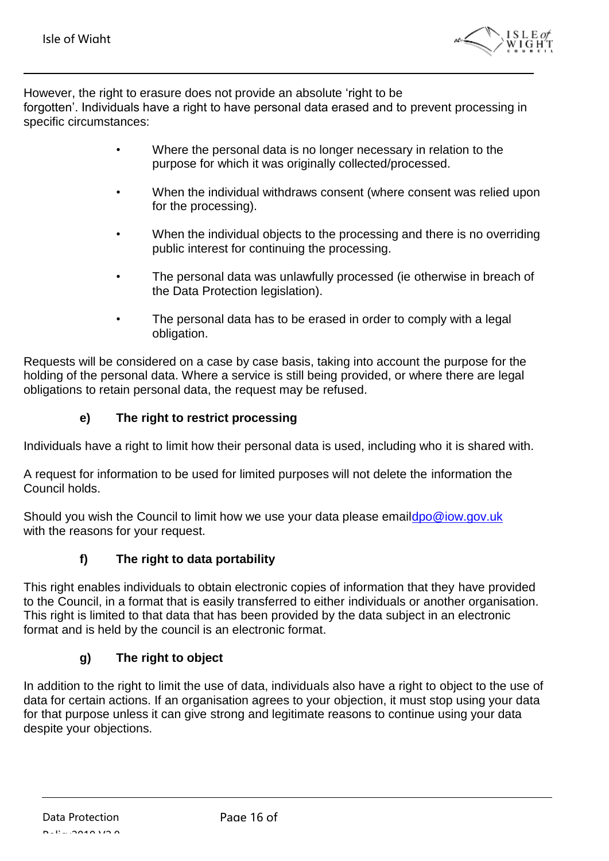

However, the right to erasure does not provide an absolute 'right to be forgotten'. Individuals have a right to have personal data erased and to prevent processing in specific circumstances:

- Where the personal data is no longer necessary in relation to the purpose for which it was originally collected/processed.
- When the individual withdraws consent (where consent was relied upon for the processing).
- When the individual objects to the processing and there is no overriding public interest for continuing the processing.
- The personal data was unlawfully processed (ie otherwise in breach of the Data Protection legislation).
- The personal data has to be erased in order to comply with a legal obligation.

Requests will be considered on a case by case basis, taking into account the purpose for the holding of the personal data. Where a service is still being provided, or where there are legal obligations to retain personal data, the request may be refused.

#### **e) The right to restrict processing**

Individuals have a right to limit how their personal data is used, including who it is shared with.

A request for information to be used for limited purposes will not delete the information the Council holds.

Should you wish the Council to limit how we use your data please emai[ldpo@iow.gov.uk](mailto:information@iow.gov.uk) with the reasons for your request.

#### **f) The right to data portability**

This right enables individuals to obtain electronic copies of information that they have provided to the Council, in a format that is easily transferred to either individuals or another organisation. This right is limited to that data that has been provided by the data subject in an electronic format and is held by the council is an electronic format.

#### **g) The right to object**

In addition to the right to limit the use of data, individuals also have a right to object to the use of data for certain actions. If an organisation agrees to your objection, it must stop using your data for that purpose unless it can give strong and legitimate reasons to continue using your data despite your objections.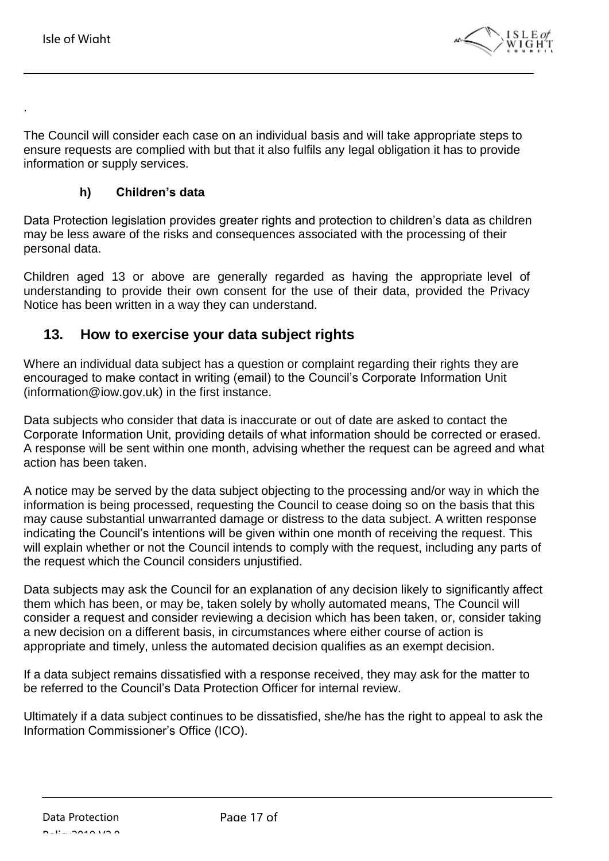<span id="page-16-1"></span>.



The Council will consider each case on an individual basis and will take appropriate steps to ensure requests are complied with but that it also fulfils any legal obligation it has to provide information or supply services.

#### **h) Children's data**

Data Protection legislation provides greater rights and protection to children's data as children may be less aware of the risks and consequences associated with the processing of their personal data.

Children aged 13 or above are generally regarded as having the appropriate level of understanding to provide their own consent for the use of their data, provided the Privacy Notice has been written in a way they can understand.

## <span id="page-16-0"></span>**13. How to exercise your data subject rights**

Where an individual data subject has a question or complaint regarding their rights they are encouraged to make contact in writing (email) to the Council's Corporate Information Unit [\(information@iow.gov.uk\)](mailto:information@iow.gov.uk) in the first instance.

Data subjects who consider that data is inaccurate or out of date are asked to contact the Corporate Information Unit, providing details of what information should be corrected or erased. A response will be sent within one month, advising whether the request can be agreed and what action has been taken.

A notice may be served by the data subject objecting to the processing and/or way in which the information is being processed, requesting the Council to cease doing so on the basis that this may cause substantial unwarranted damage or distress to the data subject. A written response indicating the Council's intentions will be given within one month of receiving the request. This will explain whether or not the Council intends to comply with the request, including any parts of the request which the Council considers unjustified.

Data subjects may ask the Council for an explanation of any decision likely to significantly affect them which has been, or may be, taken solely by wholly automated means, The Council will consider a request and consider reviewing a decision which has been taken, or, consider taking a new decision on a different basis, in circumstances where either course of action is appropriate and timely, unless the automated decision qualifies as an exempt decision.

If a data subject remains dissatisfied with a response received, they may ask for the matter to be referred to the Council's Data Protection Officer for internal review.

Ultimately if a data subject continues to be dissatisfied, she/he has the right to appeal to ask the Information Commissioner's Office (ICO).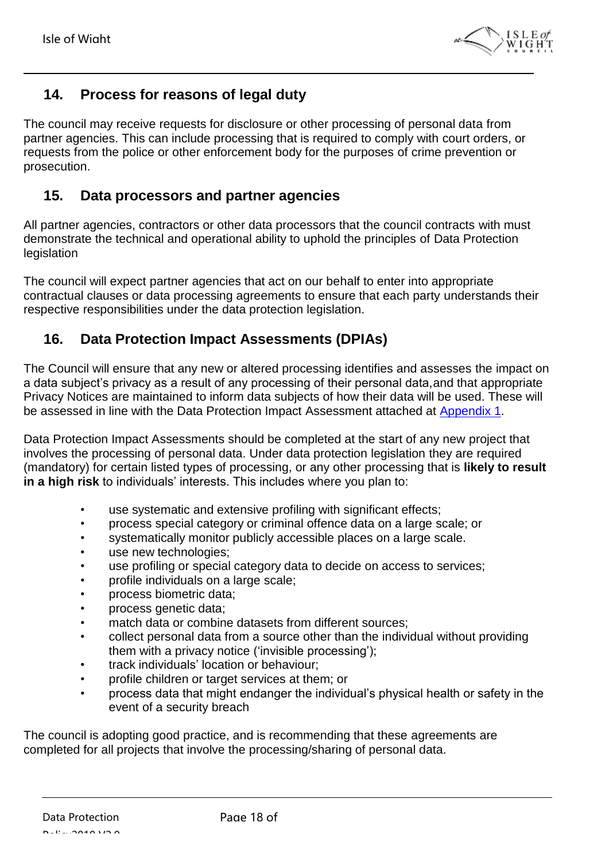

## **14. Process for reasons of legal duty**

The council may receive requests for disclosure or other processing of personal data from partner agencies. This can include processing that is required to comply with court orders, or requests from the police or other enforcement body for the purposes of crime prevention or prosecution.

## <span id="page-17-0"></span>**15. Data processors and partner agencies**

All partner agencies, contractors or other data processors that the council contracts with must demonstrate the technical and operational ability to uphold the principles of Data Protection legislation

The council will expect partner agencies that act on our behalf to enter into appropriate contractual clauses or data processing agreements to ensure that each party understands their respective responsibilities under the data protection legislation.

## <span id="page-17-1"></span>**16. Data Protection Impact Assessments (DPIAs)**

The Council will ensure that any new or altered processing identifies and assesses the impact on a data subject's privacy as a result of any processing of their personal data,and that appropriate Privacy Notices are maintained to inform data subjects of how their data will be used. These will be assessed in line with the Data Protection Impact Assessment attached at [Appendix](#page-20-0) 1.

Data Protection Impact Assessments should be completed at the start of any new project that involves the processing of personal data. Under data protection legislation they are required (mandatory) for certain listed types of processing, or any other processing that is **likely to result in a high risk** to individuals' interests. This includes where you plan to:

- use systematic and extensive profiling with significant effects;
- process special category or criminal offence data on a large scale; or
- systematically monitor publicly accessible places on a large scale.
- use new technologies;
- use profiling or special category data to decide on access to services;
- profile individuals on a large scale;
- process biometric data;
- process genetic data;
- match data or combine datasets from different sources;
- collect personal data from a source other than the individual without providing them with a privacy notice ('invisible processing');
- track individuals' location or behaviour;
- profile children or target services at them; or
- process data that might endanger the individual's physical health or safety in the event of a security breach

The council is adopting good practice, and is recommending that these agreements are completed for all projects that involve the processing/sharing of personal data.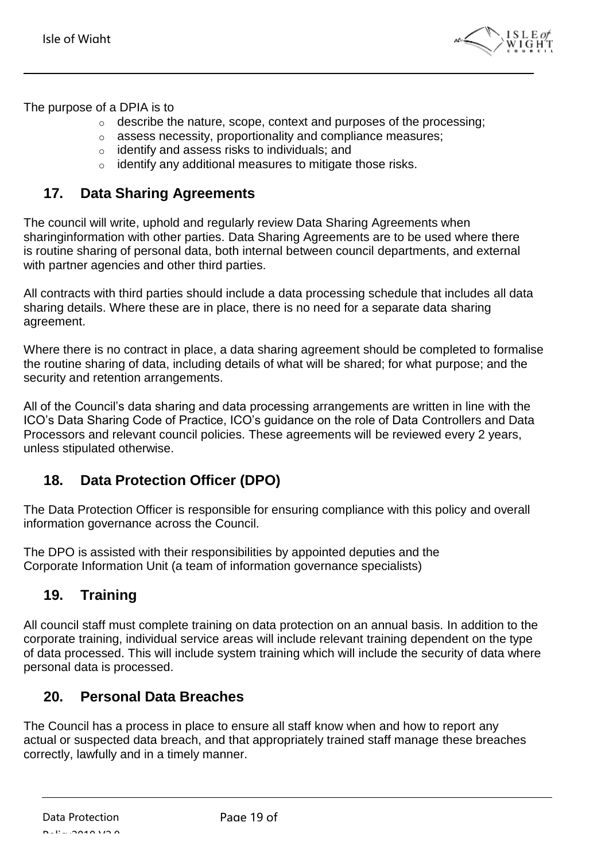

The purpose of a DPIA is to

- $\circ$  describe the nature, scope, context and purposes of the processing;
- o assess necessity, proportionality and compliance measures;
- o identify and assess risks to individuals; and
- o identify any additional measures to mitigate those risks.

## <span id="page-18-0"></span>**17. Data Sharing Agreements**

The council will write, uphold and regularly review Data Sharing Agreements when sharinginformation with other parties. Data Sharing Agreements are to be used where there is routine sharing of personal data, both internal between council departments, and external with partner agencies and other third parties.

All contracts with third parties should include a data processing schedule that includes all data sharing details. Where these are in place, there is no need for a separate data sharing agreement.

Where there is no contract in place, a data sharing agreement should be completed to formalise the routine sharing of data, including details of what will be shared; for what purpose; and the security and retention arrangements.

All of the Council's data sharing and data processing arrangements are written in line with the ICO's Data Sharing Code of Practice, ICO's guidance on the role of Data Controllers and Data Processors and relevant council policies. These agreements will be reviewed every 2 years, unless stipulated otherwise.

## <span id="page-18-1"></span>**18. Data Protection Officer (DPO)**

The Data Protection Officer is responsible for ensuring compliance with this policy and overall information governance across the Council.

The DPO is assisted with their responsibilities by appointed deputies and the Corporate Information Unit (a team of information governance specialists)

## <span id="page-18-2"></span>**19. Training**

All council staff must complete training on data protection on an annual basis. In addition to the corporate training, individual service areas will include relevant training dependent on the type of data processed. This will include system training which will include the security of data where personal data is processed.

## <span id="page-18-3"></span>**20. Personal Data Breaches**

The Council has a process in place to ensure all staff know when and how to report any actual or suspected data breach, and that appropriately trained staff manage these breaches correctly, lawfully and in a timely manner.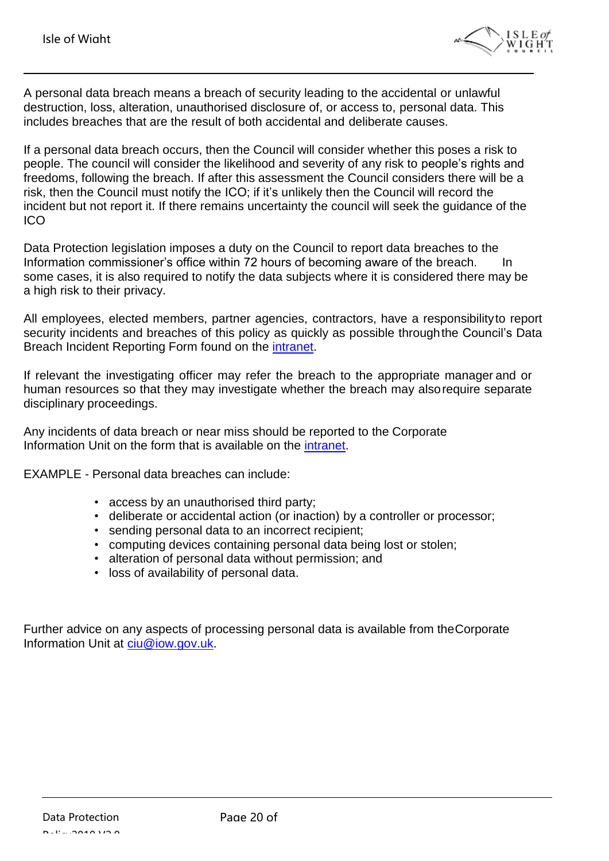

A personal data breach means a breach of security leading to the accidental or unlawful destruction, loss, alteration, unauthorised disclosure of, or access to, personal data. This includes breaches that are the result of both accidental and deliberate causes.

If a personal data breach occurs, then the Council will consider whether this poses a risk to people. The council will consider the likelihood and severity of any risk to people's rights and freedoms, following the breach. If after this assessment the Council considers there will be a risk, then the Council must notify the ICO; if it's unlikely then the Council will record the incident but not report it. If there remains uncertainty the council will seek the guidance of the ICO

Data Protection legislation imposes a duty on the Council to report data breaches to the Information commissioner's office within 72 hours of becoming aware of the breach. In some cases, it is also required to notify the data subjects where it is considered there may be a high risk to their privacy.

All employees, elected members, partner agencies, contractors, have a responsibilityto report security incidents and breaches of this policy as quickly as possible throughthe Council's Data Breach Incident Reporting Form found on the [intranet.](http://wightnet.iow.gov.uk/documentlibrary/view/gdpr-data-breach-incident-reporting-form)

If relevant the investigating officer may refer the breach to the appropriate manager and or human resources so that they may investigate whether the breach may alsorequire separate disciplinary proceedings.

Any incidents of data breach or near miss should be reported to the Corporate Information Unit on the form that is available on the [intranet.](http://wightnet.iow.gov.uk/documentlibrary/view/gdpr-data-breach-incident-reporting-form)

EXAMPLE - Personal data breaches can include:

- access by an unauthorised third party;
- deliberate or accidental action (or inaction) by a controller or processor;
- sending personal data to an incorrect recipient;
- computing devices containing personal data being lost or stolen;
- alteration of personal data without permission; and
- loss of availability of personal data.

Further advice on any aspects of processing personal data is available from theCorporate Information Unit at [ciu@iow.gov.uk.](mailto:ciu@iow.gov.uk)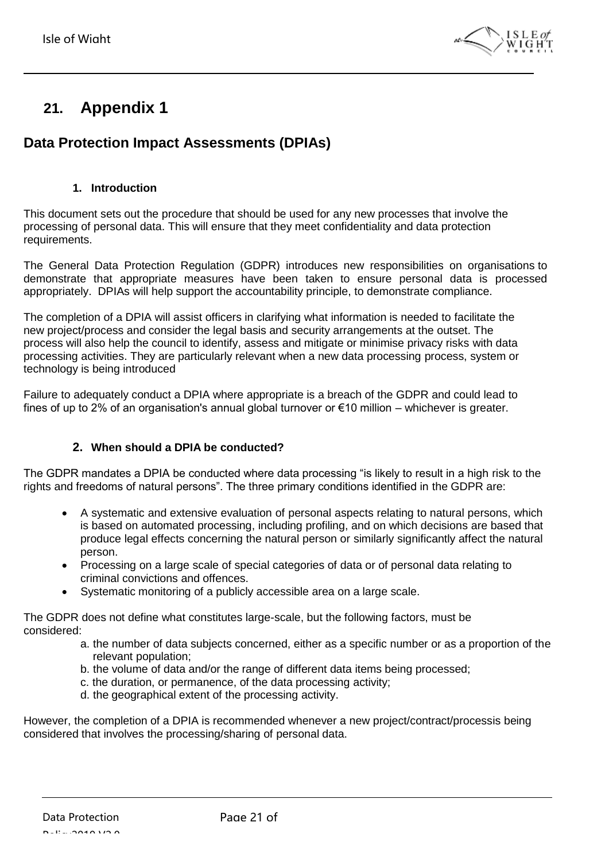

# <span id="page-20-0"></span>**21. Appendix 1**

## **Data Protection Impact Assessments (DPIAs)**

#### **1. Introduction**

This document sets out the procedure that should be used for any new processes that involve the processing of personal data. This will ensure that they meet confidentiality and data protection requirements.

The General Data Protection Regulation (GDPR) introduces new responsibilities on organisations to demonstrate that appropriate measures have been taken to ensure personal data is processed appropriately. DPIAs will help support the accountability principle, to demonstrate compliance.

The completion of a DPIA will assist officers in clarifying what information is needed to facilitate the new project/process and consider the legal basis and security arrangements at the outset. The process will also help the council to identify, assess and mitigate or minimise privacy risks with data processing activities. They are particularly relevant when a new data processing process, system or technology is being introduced

Failure to adequately conduct a DPIA where appropriate is a breach of the GDPR and could lead to fines of up to 2% of an organisation's annual global turnover or  $\epsilon$ 10 million – whichever is greater.

#### **2. When should a DPIA be conducted?**

The GDPR mandates a DPIA be conducted where data processing "is likely to result in a high risk to the rights and freedoms of natural persons". The three primary conditions identified in the GDPR are:

- A systematic and extensive evaluation of personal aspects relating to natural persons, which is based on automated processing, including profiling, and on which decisions are based that produce legal effects concerning the natural person or similarly significantly affect the natural person.
- Processing on a large scale of special categories of data or of personal data relating to criminal convictions and offences.
- Systematic monitoring of a publicly accessible area on a large scale.

The GDPR does not define what constitutes large-scale, but the following factors, must be considered:

- a. the number of data subjects concerned, either as a specific number or as a proportion of the relevant population;
- b. the volume of data and/or the range of different data items being processed;
- c. the duration, or permanence, of the data processing activity;
- d. the geographical extent of the processing activity.

However, the completion of a DPIA is recommended whenever a new project/contract/processis being considered that involves the processing/sharing of personal data.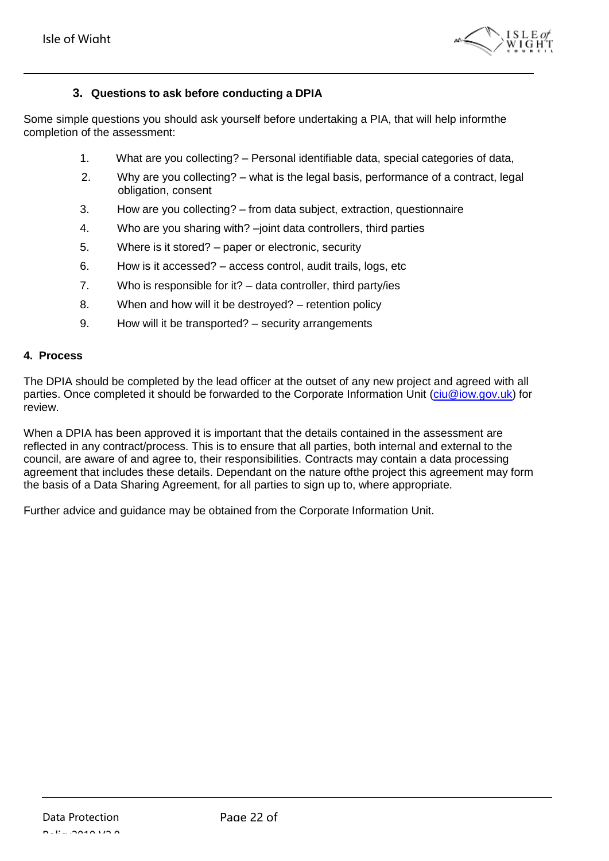

#### **3. Questions to ask before conducting a DPIA**

Some simple questions you should ask yourself before undertaking a PIA, that will help informthe completion of the assessment:

- 1. What are you collecting? Personal identifiable data, special categories of data,
- 2. Why are you collecting? what is the legal basis, performance of a contract, legal obligation, consent
- 3. How are you collecting? from data subject, extraction, questionnaire
- 4. Who are you sharing with? –joint data controllers, third parties
- 5. Where is it stored? paper or electronic, security
- 6. How is it accessed? access control, audit trails, logs, etc
- 7. Who is responsible for it? data controller, third party/ies
- 8. When and how will it be destroyed? retention policy
- 9. How will it be transported? security arrangements

#### **4. Process**

The DPIA should be completed by the lead officer at the outset of any new project and agreed with all parties. Once completed it should be forwarded to the Corporate Information Unit [\(ciu@iow.gov.uk\)](mailto:ciu@iow.gov.uk) for review.

When a DPIA has been approved it is important that the details contained in the assessment are reflected in any contract/process. This is to ensure that all parties, both internal and external to the council, are aware of and agree to, their responsibilities. Contracts may contain a data processing agreement that includes these details. Dependant on the nature ofthe project this agreement may form the basis of a Data Sharing Agreement, for all parties to sign up to, where appropriate.

Further advice and guidance may be obtained from the Corporate Information Unit.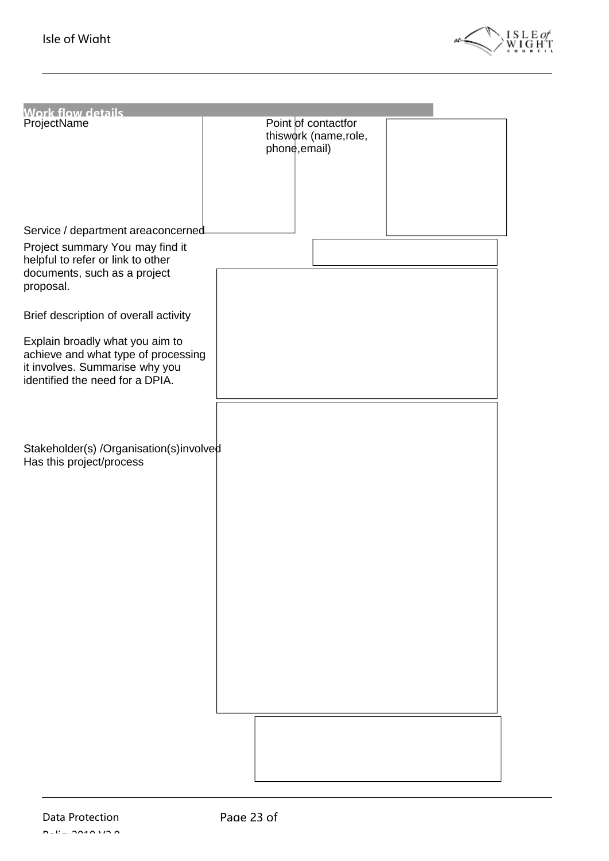

| <b>Work flow details</b>                                                                                                                    |                                                               |  |
|---------------------------------------------------------------------------------------------------------------------------------------------|---------------------------------------------------------------|--|
| ProjectName                                                                                                                                 | Point of contactfor<br>thiswork (name, role,<br>phone, email) |  |
|                                                                                                                                             |                                                               |  |
|                                                                                                                                             |                                                               |  |
| Service / department areaconcerned                                                                                                          |                                                               |  |
| Project summary You may find it<br>helpful to refer or link to other<br>documents, such as a project<br>proposal.                           |                                                               |  |
| Brief description of overall activity                                                                                                       |                                                               |  |
| Explain broadly what you aim to<br>achieve and what type of processing<br>it involves. Summarise why you<br>identified the need for a DPIA. |                                                               |  |
|                                                                                                                                             |                                                               |  |
|                                                                                                                                             |                                                               |  |
| Stakeholder(s) /Organisation(s)involved<br>Has this project/process                                                                         |                                                               |  |
|                                                                                                                                             |                                                               |  |
|                                                                                                                                             |                                                               |  |
|                                                                                                                                             |                                                               |  |
|                                                                                                                                             |                                                               |  |
|                                                                                                                                             |                                                               |  |
|                                                                                                                                             |                                                               |  |
|                                                                                                                                             |                                                               |  |
|                                                                                                                                             |                                                               |  |
|                                                                                                                                             |                                                               |  |
|                                                                                                                                             |                                                               |  |
|                                                                                                                                             |                                                               |  |
|                                                                                                                                             |                                                               |  |
|                                                                                                                                             |                                                               |  |
|                                                                                                                                             |                                                               |  |
|                                                                                                                                             |                                                               |  |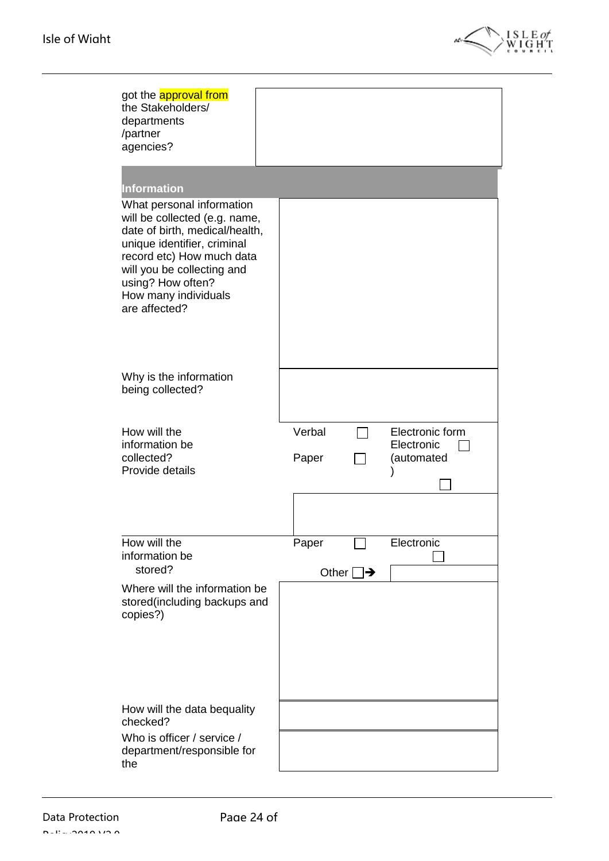

| got the <b>approval from</b><br>the Stakeholders/<br>departments<br>/partner<br>agencies?                                                                                                                                                                                  |                                                                |  |
|----------------------------------------------------------------------------------------------------------------------------------------------------------------------------------------------------------------------------------------------------------------------------|----------------------------------------------------------------|--|
| <b>Information</b><br>What personal information<br>will be collected (e.g. name,<br>date of birth, medical/health,<br>unique identifier, criminal<br>record etc) How much data<br>will you be collecting and<br>using? How often?<br>How many individuals<br>are affected? |                                                                |  |
| Why is the information<br>being collected?                                                                                                                                                                                                                                 |                                                                |  |
| How will the<br>information be<br>collected?<br>Provide details                                                                                                                                                                                                            | Verbal<br>Electronic form<br>Electronic<br>(automated<br>Paper |  |
| How will the<br>information be<br>stored?<br>Where will the information be                                                                                                                                                                                                 | Paper<br>Electronic<br>Other $\Box$                            |  |
| stored(including backups and<br>copies?)                                                                                                                                                                                                                                   |                                                                |  |
| How will the data bequality<br>checked?<br>Who is officer / service /<br>department/responsible for<br>the                                                                                                                                                                 |                                                                |  |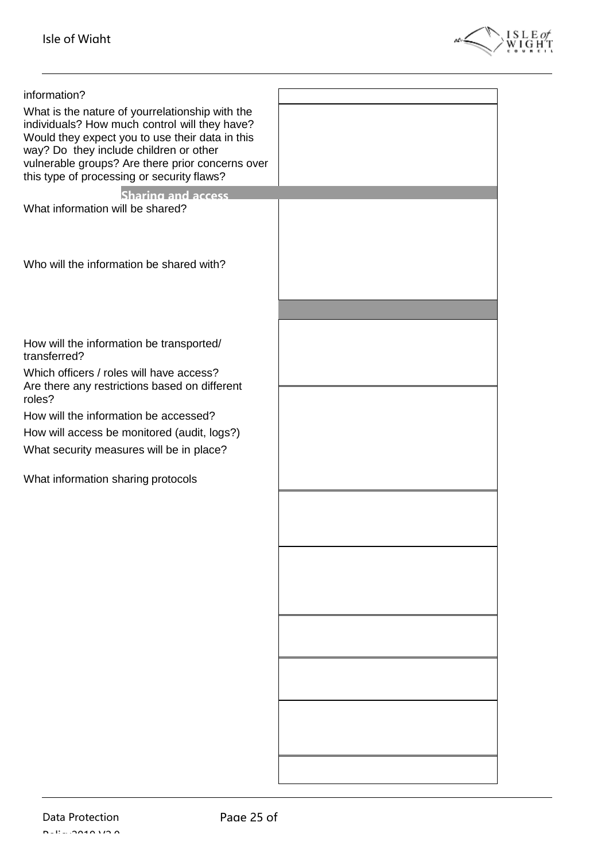

| information?                                            |  |
|---------------------------------------------------------|--|
| What is the nature of yourrelationship with the         |  |
| individuals? How much control will they have?           |  |
| Would they expect you to use their data in this         |  |
| way? Do they include children or other                  |  |
| vulnerable groups? Are there prior concerns over        |  |
| this type of processing or security flaws?              |  |
| Sharing and access                                      |  |
| What information will be shared?                        |  |
|                                                         |  |
|                                                         |  |
|                                                         |  |
| Who will the information be shared with?                |  |
|                                                         |  |
|                                                         |  |
|                                                         |  |
|                                                         |  |
| How will the information be transported/                |  |
| transferred?                                            |  |
| Which officers / roles will have access?                |  |
| Are there any restrictions based on different<br>roles? |  |
|                                                         |  |
| How will the information be accessed?                   |  |
| How will access be monitored (audit, logs?)             |  |
| What security measures will be in place?                |  |
|                                                         |  |
| What information sharing protocols                      |  |
|                                                         |  |
|                                                         |  |
|                                                         |  |
|                                                         |  |
|                                                         |  |
|                                                         |  |
|                                                         |  |
|                                                         |  |
|                                                         |  |
|                                                         |  |
|                                                         |  |
|                                                         |  |
|                                                         |  |
|                                                         |  |
|                                                         |  |
|                                                         |  |
|                                                         |  |
|                                                         |  |
|                                                         |  |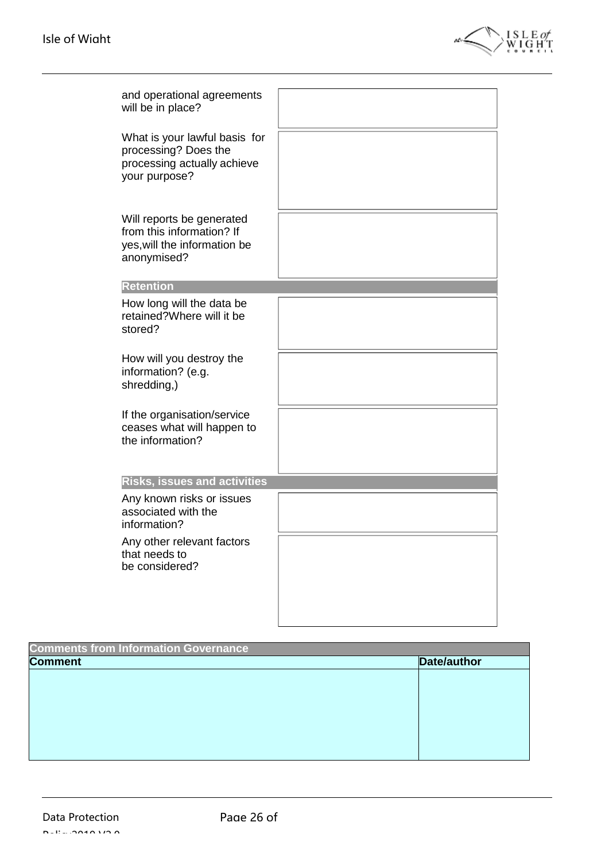

| and operational agreements<br>will be in place?                                                       |  |
|-------------------------------------------------------------------------------------------------------|--|
| What is your lawful basis for<br>processing? Does the<br>processing actually achieve<br>your purpose? |  |
| Will reports be generated<br>from this information? If<br>yes, will the information be<br>anonymised? |  |
| <b>Retention</b>                                                                                      |  |
| How long will the data be<br>retained?Where will it be<br>stored?                                     |  |
| How will you destroy the<br>information? (e.g.<br>shredding,)                                         |  |
| If the organisation/service<br>ceases what will happen to<br>the information?                         |  |
| <b>Risks, issues and activities</b>                                                                   |  |
| Any known risks or issues<br>associated with the<br>information?                                      |  |
| Any other relevant factors<br>that needs to<br>be considered?                                         |  |
|                                                                                                       |  |

| <b>Comments from Information Governance</b> |             |  |
|---------------------------------------------|-------------|--|
| <b>Comment</b>                              | Date/author |  |
|                                             |             |  |
|                                             |             |  |
|                                             |             |  |
|                                             |             |  |
|                                             |             |  |
|                                             |             |  |
|                                             |             |  |
|                                             |             |  |